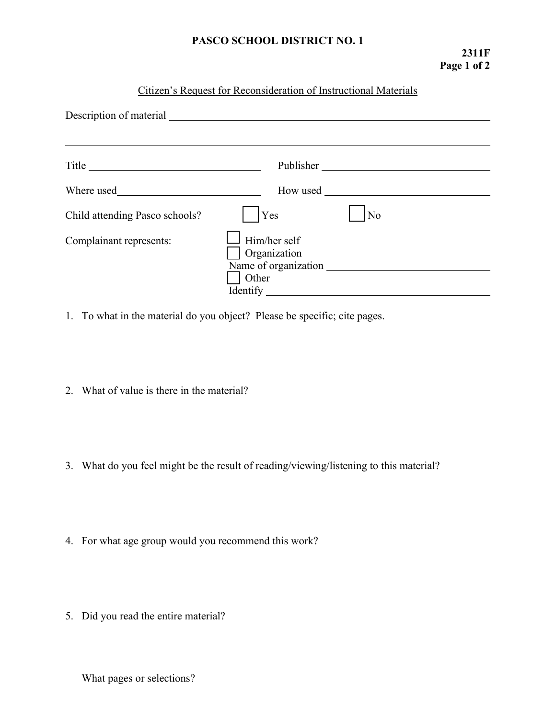## **PASCO SCHOOL DISTRICT NO. 1**

## Citizen's Request for Reconsideration of Instructional Materials

| Description of material        |                                                   |                                           |
|--------------------------------|---------------------------------------------------|-------------------------------------------|
|                                |                                                   | Publisher                                 |
| Where used                     | How used                                          | <u> 1989 - Jan Barat, prima politik (</u> |
| Child attending Pasco schools? | <b>Yes</b>                                        | No                                        |
| Complainant represents:        | Him/her self<br>Organization<br>Other<br>Identify |                                           |

1. To what in the material do you object? Please be specific; cite pages.

- 2. What of value is there in the material?
- 3. What do you feel might be the result of reading/viewing/listening to this material?
- 4. For what age group would you recommend this work?
- 5. Did you read the entire material?

What pages or selections?